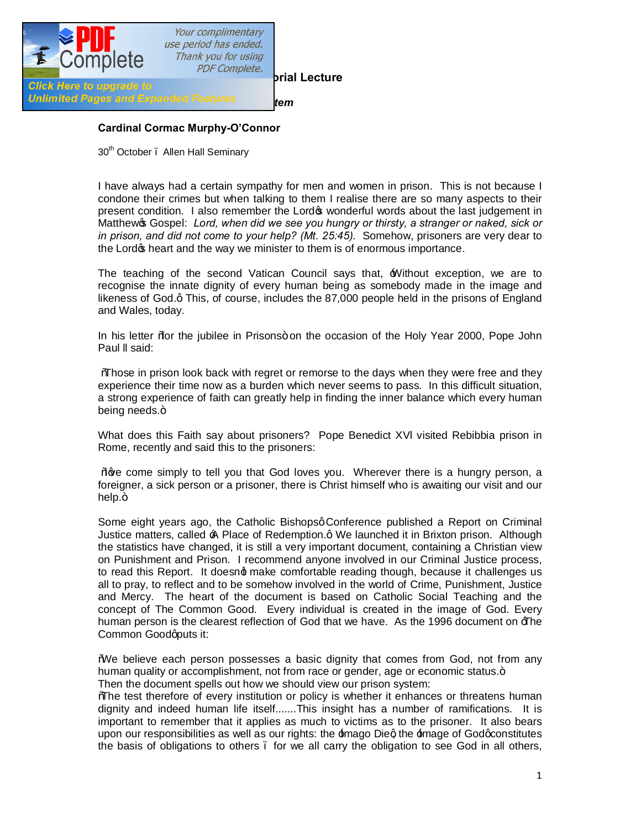

## **Cardinal Cormac Murphy-O'Connor**

30<sup>th</sup> October . Allen Hall Seminary

I have always had a certain sympathy for men and women in prison. This is not because I condone their crimes but when talking to them I realise there are so many aspects to their present condition. I also remember the Lord's wonderful words about the last judgement in Matthew<sub>'s</sub> Gospel: *Lord, when did we see you hungry or thirsty, a stranger or naked, sick or in prison, and did not come to your help? (Mt. 25:45).* Somehow, prisoners are very dear to the Lord<sub>®</sub> heart and the way we minister to them is of enormous importance.

The teaching of the second Vatican Council says that,  $\pm$  Without exception, we are to recognise the innate dignity of every human being as somebody made in the image and likeness of God.q This, of course, includes the 87,000 people held in the prisons of England and Wales, today.

In his letter % or the jubilee in Prisons+ on the occasion of the Holy Year 2000, Pope John Paul ll said:

"Those in prison look back with regret or remorse to the days when they were free and they experience their time now as a burden which never seems to pass. In this difficult situation, a strong experience of faith can greatly help in finding the inner balance which every human being needs.+

What does this Faith say about prisoners? Pope Benedict XVl visited Rebibbia prison in Rome, recently and said this to the prisoners:

Waye come simply to tell you that God loves you. Wherever there is a hungry person, a foreigner, a sick person or a prisoner, there is Christ himself who is awaiting our visit and our help.+

Some eight years ago, the Catholic Bishopsg Conference published a Report on Criminal Justice matters, called  $\triangle$  Place of Redemption.g We launched it in Brixton prison. Although the statistics have changed, it is still a very important document, containing a Christian view on Punishment and Prison. I recommend anyone involved in our Criminal Justice process, to read this Report. It doesnot make comfortable reading though, because it challenges us all to pray, to reflect and to be somehow involved in the world of Crime, Punishment, Justice and Mercy. The heart of the document is based on Catholic Social Teaching and the concept of The Common Good. Every individual is created in the image of God. Every human person is the clearest reflection of God that we have. As the 1996 document on  $\pm$ he Common Goodqputs it:

"We believe each person possesses a basic dignity that comes from God, not from any human quality or accomplishment, not from race or gender, age or economic status. Then the document spells out how we should view our prison system:

"The test therefore of every institution or policy is whether it enhances or threatens human dignity and indeed human life itself.......This insight has a number of ramifications. It is important to remember that it applies as much to victims as to the prisoner. It also bears upon our responsibilities as well as our rights: the  $\pm$ mago Dieg the  $\pm$ mage of Godgconstitutes the basis of obligations to others – for we all carry the obligation to see God in all others,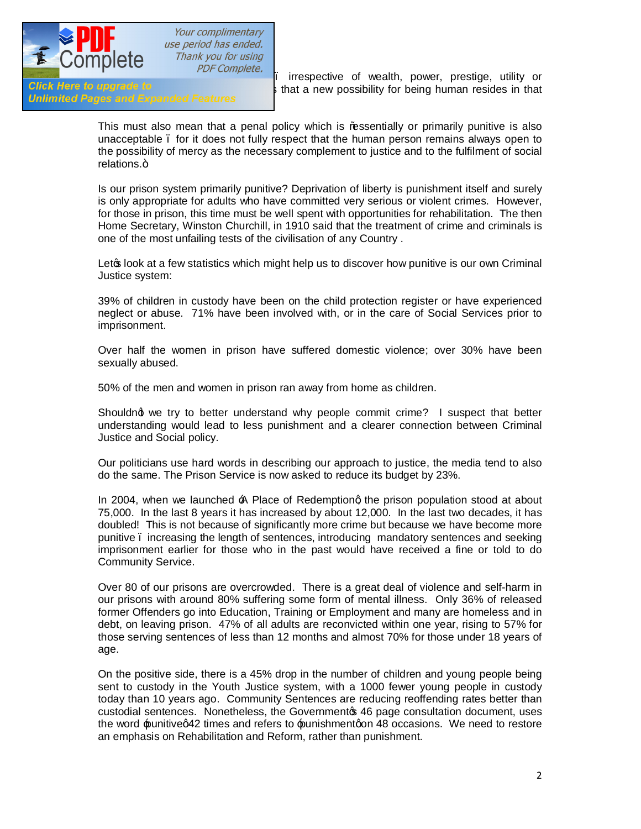

Your complimentary use period has ended. Thank you for using

Unlimited Pages and Expanded Features

**FIGURE – COTTIPICTC**<br>Click Here to upgrade to **FIGURE – interventive of wealth, power, prestige, utility or**<br>s that a new possibility for being human resides in that s that a new possibility for being human resides in that

> This must also mean that a penal policy which is ‰ssentially or primarily punitive is also unacceptable – for it does not fully respect that the human person remains always open to the possibility of mercy as the necessary complement to justice and to the fulfilment of social relations.+

> Is our prison system primarily punitive? Deprivation of liberty is punishment itself and surely is only appropriate for adults who have committed very serious or violent crimes. However, for those in prison, this time must be well spent with opportunities for rehabilitation. The then Home Secretary, Winston Churchill, in 1910 said that the treatment of crime and criminals is one of the most unfailing tests of the civilisation of any Country .

> Leto look at a few statistics which might help us to discover how punitive is our own Criminal Justice system:

> 39% of children in custody have been on the child protection register or have experienced neglect or abuse. 71% have been involved with, or in the care of Social Services prior to imprisonment.

> Over half the women in prison have suffered domestic violence; over 30% have been sexually abused.

50% of the men and women in prison ran away from home as children.

Shouldnot we try to better understand why people commit crime? I suspect that better understanding would lead to less punishment and a clearer connection between Criminal Justice and Social policy.

Our politicians use hard words in describing our approach to justice, the media tend to also do the same. The Prison Service is now asked to reduce its budget by 23%.

In 2004, when we launched  $\triangle$  Place of Redemptiong the prison population stood at about 75,000. In the last 8 years it has increased by about 12,000. In the last two decades, it has doubled! This is not because of significantly more crime but because we have become more punitive – increasing the length of sentences, introducing mandatory sentences and seeking imprisonment earlier for those who in the past would have received a fine or told to do Community Service.

Over 80 of our prisons are overcrowded. There is a great deal of violence and self-harm in our prisons with around 80% suffering some form of mental illness. Only 36% of released former Offenders go into Education, Training or Employment and many are homeless and in debt, on leaving prison. 47% of all adults are reconvicted within one year, rising to 57% for those serving sentences of less than 12 months and almost 70% for those under 18 years of age.

On the positive side, there is a 45% drop in the number of children and young people being sent to custody in the Youth Justice system, with a 1000 fewer young people in custody today than 10 years ago. Community Sentences are reducing reoffending rates better than custodial sentences. Nonetheless, the Governmento 46 page consultation document, uses the word punitive q42 times and refers to punishment qon 48 occasions. We need to restore an emphasis on Rehabilitation and Reform, rather than punishment.